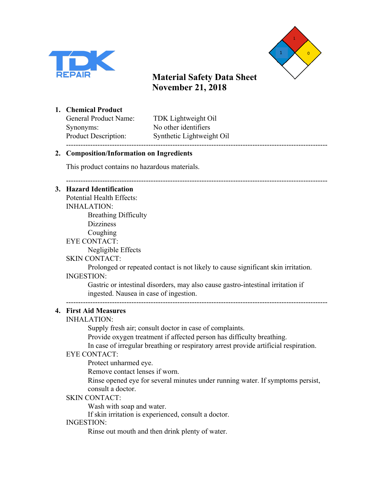



------------------------------------------------------------------------------------------------------------

**1. Chemical Product**

Synonyms: No other identifiers ------------------------------------------------------------------------------------------------------------

General Product Name: TDK Lightweight Oil Product Description: Synthetic Lightweight Oil

## **2. Composition/Information on Ingredients**

This product contains no hazardous materials.

## **3. Hazard Identification**

Potential Health Effects: INHALATION: Breathing Difficulty **Dizziness** Coughing EYE CONTACT: Negligible Effects SKIN CONTACT:

Prolonged or repeated contact is not likely to cause significant skin irritation. INGESTION:

Gastric or intestinal disorders, may also cause gastro-intestinal irritation if ingested. Nausea in case of ingestion.

------------------------------------------------------------------------------------------------------------

## **4. First Aid Measures**

## INHALATION:

Supply fresh air; consult doctor in case of complaints.

Provide oxygen treatment if affected person has difficulty breathing.

In case of irregular breathing or respiratory arrest provide artificial respiration.

## EYE CONTACT:

Protect unharmed eye.

Remove contact lenses if worn.

Rinse opened eye for several minutes under running water. If symptoms persist, consult a doctor.

## SKIN CONTACT:

Wash with soap and water.

If skin irritation is experienced, consult a doctor.

## INGESTION:

Rinse out mouth and then drink plenty of water.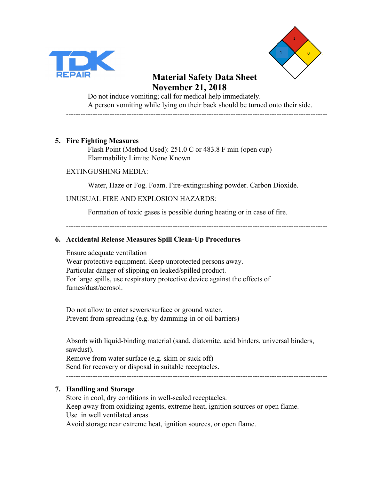



Do not induce vomiting; call for medical help immediately. A person vomiting while lying on their back should be turned onto their side. ------------------------------------------------------------------------------------------------------------

#### **5. Fire Fighting Measures**

Flash Point (Method Used): 251.0 C or 483.8 F min (open cup) Flammability Limits: None Known

#### EXTINGUSHING MEDIA:

Water, Haze or Fog. Foam. Fire-extinguishing powder. Carbon Dioxide.

#### UNUSUAL FIRE AND EXPLOSION HAZARDS:

Formation of toxic gases is possible during heating or in case of fire.

------------------------------------------------------------------------------------------------------------

#### **6. Accidental Release Measures Spill Clean-Up Procedures**

Ensure adequate ventilation Wear protective equipment. Keep unprotected persons away. Particular danger of slipping on leaked/spilled product. For large spills, use respiratory protective device against the effects of fumes/dust/aerosol.

Do not allow to enter sewers/surface or ground water. Prevent from spreading (e.g. by damming-in or oil barriers)

Absorb with liquid-binding material (sand, diatomite, acid binders, universal binders, sawdust).

Remove from water surface (e.g. skim or suck off) Send for recovery or disposal in suitable receptacles. ------------------------------------------------------------------------------------------------------------

## **7. Handling and Storage**

Store in cool, dry conditions in well-sealed receptacles. Keep away from oxidizing agents, extreme heat, ignition sources or open flame. Use in well ventilated areas. Avoid storage near extreme heat, ignition sources, or open flame.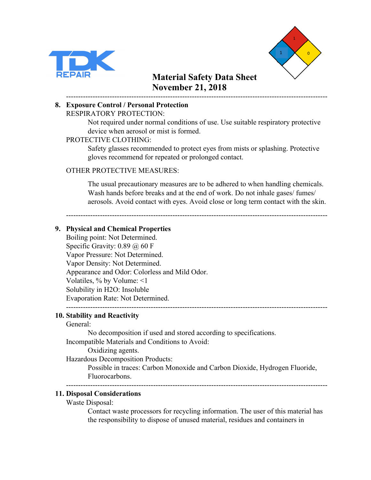



#### ------------------------------------------------------------------------------------------------------------ **8. Exposure Control / Personal Protection** RESPIRATORY PROTECTION:

Not required under normal conditions of use. Use suitable respiratory protective device when aerosol or mist is formed.

## PROTECTIVE CLOTHING:

Safety glasses recommended to protect eyes from mists or splashing. Protective gloves recommend for repeated or prolonged contact.

## OTHER PROTECTIVE MEASURES:

The usual precautionary measures are to be adhered to when handling chemicals. Wash hands before breaks and at the end of work. Do not inhale gases/ fumes/ aerosols. Avoid contact with eyes. Avoid close or long term contact with the skin.

------------------------------------------------------------------------------------------------------------

## **9. Physical and Chemical Properties**

Boiling point: Not Determined. Specific Gravity:  $0.89 \ (\omega) 60 \ F$ Vapor Pressure: Not Determined. Vapor Density: Not Determined. Appearance and Odor: Colorless and Mild Odor. Volatiles, % by Volume: <1 Solubility in H2O: Insoluble Evaporation Rate: Not Determined.

## ------------------------------------------------------------------------------------------------------------

#### **10. Stability and Reactivity**

#### General:

No decomposition if used and stored according to specifications. Incompatible Materials and Conditions to Avoid:

Oxidizing agents.

Hazardous Decomposition Products:

Possible in traces: Carbon Monoxide and Carbon Dioxide, Hydrogen Fluoride, Fluorocarbons.

------------------------------------------------------------------------------------------------------------

#### **11. Disposal Considerations**

Waste Disposal:

Contact waste processors for recycling information. The user of this material has the responsibility to dispose of unused material, residues and containers in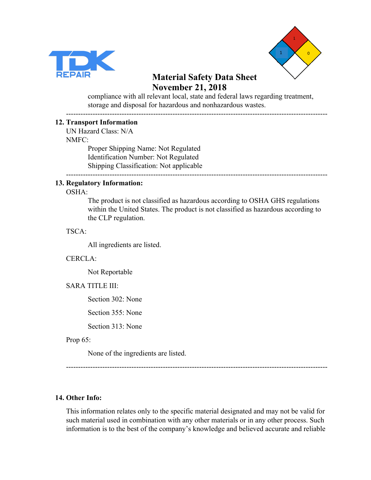



compliance with all relevant local, state and federal laws regarding treatment, storage and disposal for hazardous and nonhazardous wastes.

------------------------------------------------------------------------------------------------------------

#### **12. Transport Information**

UN Hazard Class: N/A NMFC:

Proper Shipping Name: Not Regulated Identification Number: Not Regulated Shipping Classification: Not applicable

#### ------------------------------------------------------------------------------------------------------------

#### **13. Regulatory Information:**

OSHA:

The product is not classified as hazardous according to OSHA GHS regulations within the United States. The product is not classified as hazardous according to the CLP regulation.

TSCA:

All ingredients are listed.

#### CERCLA:

Not Reportable

#### SARA TITLE III:

Section 302: None

Section 355: None

Section 313: None

Prop 65:

None of the ingredients are listed.

------------------------------------------------------------------------------------------------------------

#### **14. Other Info:**

This information relates only to the specific material designated and may not be valid for such material used in combination with any other materials or in any other process. Such information is to the best of the company's knowledge and believed accurate and reliable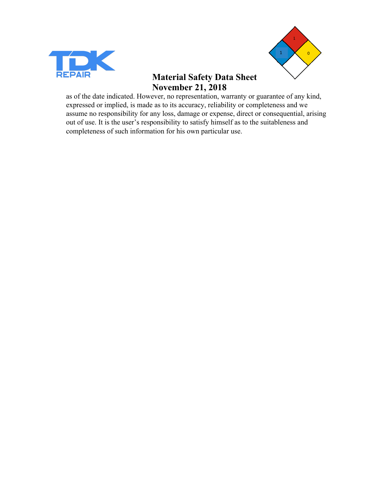



as of the date indicated. However, no representation, warranty or guarantee of any kind, expressed or implied, is made as to its accuracy, reliability or completeness and we assume no responsibility for any loss, damage or expense, direct or consequential, arising out of use. It is the user's responsibility to satisfy himself as to the suitableness and completeness of such information for his own particular use.